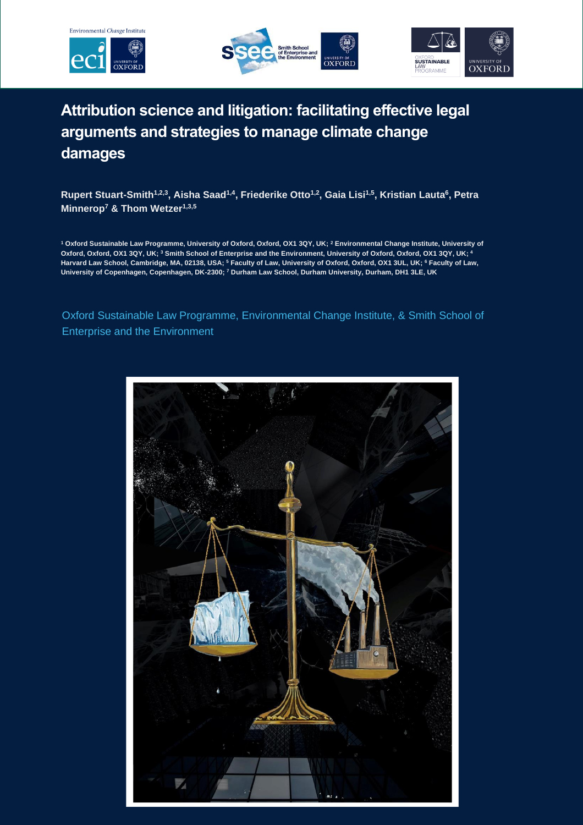





# **Attribution science and litigation: facilitating effective legal arguments and strategies to manage climate change damages**

**Rupert Stuart-Smith1,2,3, Aisha Saad1,4 , Friederike Otto1,2, Gaia Lisi1,5 , Kristian Lauta<sup>6</sup> , Petra Minnerop<sup>7</sup> & Thom Wetzer1,3,5**

**<sup>1</sup> Oxford Sustainable Law Programme, University of Oxford, Oxford, OX1 3QY, UK; <sup>2</sup> Environmental Change Institute, University of Oxford, Oxford, OX1 3QY, UK; <sup>3</sup> Smith School of Enterprise and the Environment, University of Oxford, Oxford, OX1 3QY, UK; <sup>4</sup> Harvard Law School, Cambridge, MA, 02138, USA; <sup>5</sup> Faculty of Law, University of Oxford, Oxford, OX1 3UL, UK; <sup>6</sup> Faculty of Law, University of Copenhagen, Copenhagen, DK-2300; <sup>7</sup> Durham Law School, Durham University, Durham, DH1 3LE, UK**

Oxford Sustainable Law Programme, Environmental Change Institute, & Smith School of Enterprise and the Environment

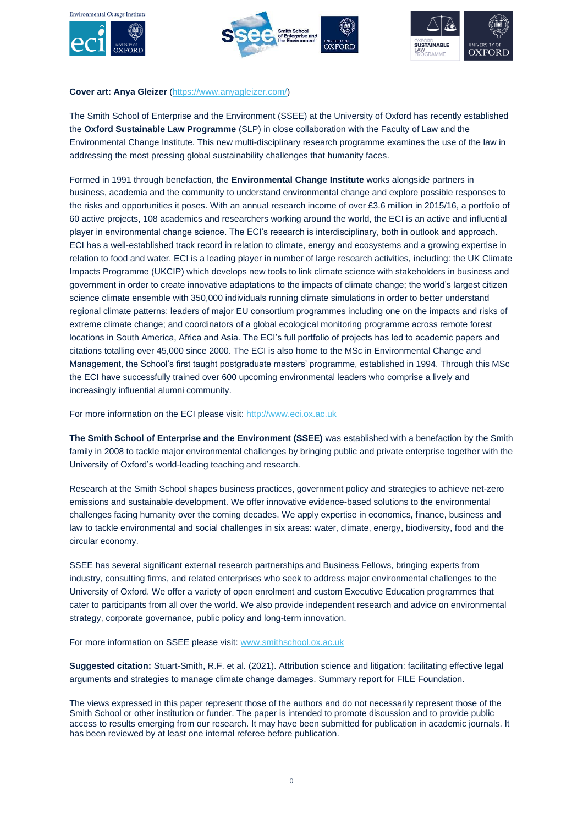







#### **Cover art: Anya Gleizer** [\(https://www.anyagleizer.com/\)](https://www.anyagleizer.com/)

The Smith School of Enterprise and the Environment (SSEE) at the University of Oxford has recently established the **Oxford Sustainable Law Programme** (SLP) in close collaboration with the Faculty of Law and the Environmental Change Institute. This new multi-disciplinary research programme examines the use of the law in addressing the most pressing global sustainability challenges that humanity faces.

Formed in 1991 through benefaction, the **Environmental Change Institute** works alongside partners in business, academia and the community to understand environmental change and explore possible responses to the risks and opportunities it poses. With an annual research income of over £3.6 million in 2015/16, a portfolio of 60 active projects, 108 academics and researchers working around the world, the ECI is an active and influential player in environmental change science. The ECI's research is interdisciplinary, both in outlook and approach. ECI has a well-established track record in relation to climate, energy and ecosystems and a growing expertise in relation to food and water. ECI is a leading player in number of large research activities, including: the UK Climate Impacts Programme (UKCIP) which develops new tools to link climate science with stakeholders in business and government in order to create innovative adaptations to the impacts of climate change; the world's largest citizen science climate ensemble with 350,000 individuals running climate simulations in order to better understand regional climate patterns; leaders of major EU consortium programmes including one on the impacts and risks of extreme climate change; and coordinators of a global ecological monitoring programme across remote forest locations in South America, Africa and Asia. The ECI's full portfolio of projects has led to academic papers and citations totalling over 45,000 since 2000. The ECI is also home to the MSc in Environmental Change and Management, the School's first taught postgraduate masters' programme, established in 1994. Through this MSc the ECI have successfully trained over 600 upcoming environmental leaders who comprise a lively and increasingly influential alumni community.

For more information on the ECI please visit: [http://www.eci.ox.ac.uk](http://www.eci.ox.ac.uk/)

**The Smith School of Enterprise and the Environment (SSEE)** was established with a benefaction by the Smith family in 2008 to tackle major environmental challenges by bringing public and private enterprise together with the University of Oxford's world-leading teaching and research.

Research at the Smith School shapes business practices, government policy and strategies to achieve net-zero emissions and sustainable development. We offer innovative evidence-based solutions to the environmental challenges facing humanity over the coming decades. We apply expertise in economics, finance, business and law to tackle environmental and social challenges in six areas: water, climate, energy, biodiversity, food and the circular economy.

SSEE has several significant external research partnerships and Business Fellows, bringing experts from industry, consulting firms, and related enterprises who seek to address major environmental challenges to the University of Oxford. We offer a variety of open enrolment and custom Executive Education programmes that cater to participants from all over the world. We also provide independent research and advice on environmental strategy, corporate governance, public policy and long-term innovation.

For more information on SSEE please visit: [www.smithschool.ox.ac.uk](http://www.smithschool.ox.ac.uk/)

**Suggested citation:** Stuart-Smith, R.F. et al. (2021). Attribution science and litigation: facilitating effective legal arguments and strategies to manage climate change damages. Summary report for FILE Foundation.

The views expressed in this paper represent those of the authors and do not necessarily represent those of the Smith School or other institution or funder. The paper is intended to promote discussion and to provide public access to results emerging from our research. It may have been submitted for publication in academic journals. It has been reviewed by at least one internal referee before publication.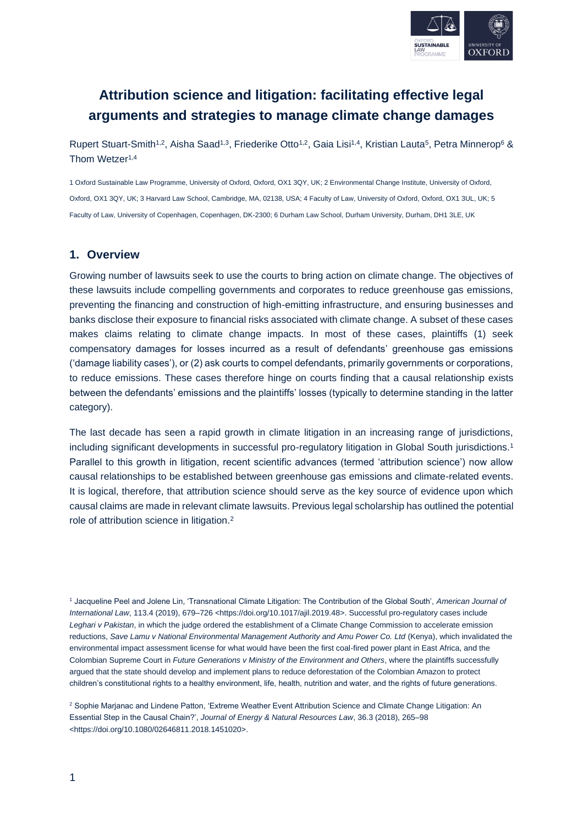

## **Attribution science and litigation: facilitating effective legal arguments and strategies to manage climate change damages**

Rupert Stuart-Smith<sup>1,2</sup>, Aisha Saad<sup>1,3</sup>, Friederike Otto<sup>1,2</sup>, Gaia Lisi<sup>1,4</sup>, Kristian Lauta<sup>5</sup>, Petra Minnerop<sup>6</sup> & Thom Wetzer<sup>1,4</sup>

1 Oxford Sustainable Law Programme, University of Oxford, Oxford, OX1 3QY, UK; 2 Environmental Change Institute, University of Oxford, Oxford, OX1 3QY, UK; 3 Harvard Law School, Cambridge, MA, 02138, USA; 4 Faculty of Law, University of Oxford, Oxford, OX1 3UL, UK; 5 Faculty of Law, University of Copenhagen, Copenhagen, DK-2300; 6 Durham Law School, Durham University, Durham, DH1 3LE, UK

#### **1. Overview**

Growing number of lawsuits seek to use the courts to bring action on climate change. The objectives of these lawsuits include compelling governments and corporates to reduce greenhouse gas emissions, preventing the financing and construction of high-emitting infrastructure, and ensuring businesses and banks disclose their exposure to financial risks associated with climate change. A subset of these cases makes claims relating to climate change impacts. In most of these cases, plaintiffs (1) seek compensatory damages for losses incurred as a result of defendants' greenhouse gas emissions ('damage liability cases'), or (2) ask courts to compel defendants, primarily governments or corporations, to reduce emissions. These cases therefore hinge on courts finding that a causal relationship exists between the defendants' emissions and the plaintiffs' losses (typically to determine standing in the latter category).

The last decade has seen a rapid growth in climate litigation in an increasing range of jurisdictions, including significant developments in successful pro-regulatory litigation in Global South jurisdictions.<sup>1</sup> Parallel to this growth in litigation, recent scientific advances (termed 'attribution science') now allow causal relationships to be established between greenhouse gas emissions and climate-related events. It is logical, therefore, that attribution science should serve as the key source of evidence upon which causal claims are made in relevant climate lawsuits. Previous legal scholarship has outlined the potential role of attribution science in litigation. 2

<sup>1</sup> Jacqueline Peel and Jolene Lin, 'Transnational Climate Litigation: The Contribution of the Global South', *American Journal of International Law*, 113.4 (2019), 679–726 <https://doi.org/10.1017/ajil.2019.48>. Successful pro-regulatory cases include *Leghari v Pakistan*, in which the judge ordered the establishment of a Climate Change Commission to accelerate emission reductions, *Save Lamu v National Environmental Management Authority and Amu Power Co. Ltd* (Kenya), which invalidated the environmental impact assessment license for what would have been the first coal-fired power plant in East Africa, and the Colombian Supreme Court in *Future Generations v Ministry of the Environment and Others*, where the plaintiffs successfully argued that the state should develop and implement plans to reduce deforestation of the Colombian Amazon to protect children's constitutional rights to a healthy environment, life, health, nutrition and water, and the rights of future generations.

<sup>2</sup> Sophie Marjanac and Lindene Patton, 'Extreme Weather Event Attribution Science and Climate Change Litigation: An Essential Step in the Causal Chain?', *Journal of Energy & Natural Resources Law*, 36.3 (2018), 265–98 <https://doi.org/10.1080/02646811.2018.1451020>.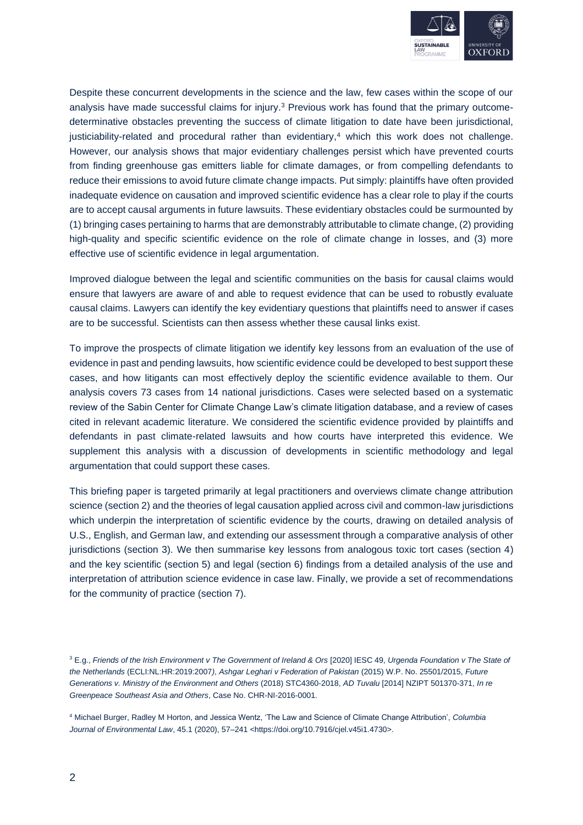

Despite these concurrent developments in the science and the law, few cases within the scope of our analysis have made successful claims for injury.<sup>3</sup> Previous work has found that the primary outcomedeterminative obstacles preventing the success of climate litigation to date have been jurisdictional, justiciability-related and procedural rather than evidentiary,<sup>4</sup> which this work does not challenge. However, our analysis shows that major evidentiary challenges persist which have prevented courts from finding greenhouse gas emitters liable for climate damages, or from compelling defendants to reduce their emissions to avoid future climate change impacts. Put simply: plaintiffs have often provided inadequate evidence on causation and improved scientific evidence has a clear role to play if the courts are to accept causal arguments in future lawsuits. These evidentiary obstacles could be surmounted by (1) bringing cases pertaining to harms that are demonstrably attributable to climate change, (2) providing high-quality and specific scientific evidence on the role of climate change in losses, and (3) more effective use of scientific evidence in legal argumentation.

Improved dialogue between the legal and scientific communities on the basis for causal claims would ensure that lawyers are aware of and able to request evidence that can be used to robustly evaluate causal claims. Lawyers can identify the key evidentiary questions that plaintiffs need to answer if cases are to be successful. Scientists can then assess whether these causal links exist.

To improve the prospects of climate litigation we identify key lessons from an evaluation of the use of evidence in past and pending lawsuits, how scientific evidence could be developed to best support these cases, and how litigants can most effectively deploy the scientific evidence available to them. Our analysis covers 73 cases from 14 national jurisdictions. Cases were selected based on a systematic review of the Sabin Center for Climate Change Law's climate litigation database, and a review of cases cited in relevant academic literature. We considered the scientific evidence provided by plaintiffs and defendants in past climate-related lawsuits and how courts have interpreted this evidence. We supplement this analysis with a discussion of developments in scientific methodology and legal argumentation that could support these cases.

This briefing paper is targeted primarily at legal practitioners and overviews climate change attribution science (section 2) and the theories of legal causation applied across civil and common-law jurisdictions which underpin the interpretation of scientific evidence by the courts, drawing on detailed analysis of U.S., English, and German law, and extending our assessment through a comparative analysis of other jurisdictions (section 3). We then summarise key lessons from analogous toxic tort cases (section 4) and the key scientific (section 5) and legal (section 6) findings from a detailed analysis of the use and interpretation of attribution science evidence in case law. Finally, we provide a set of recommendations for the community of practice (section 7).

<sup>3</sup> E.g., *Friends of the Irish Environment v The Government of Ireland & Ors* [2020] IESC 49, *Urgenda Foundation v The State of the Netherlands* (ECLI:NL:HR:2019:2007*)*, *Ashgar Leghari v Federation of Pakistan* (2015) W.P. No. 25501/2015, *Future Generations v. Ministry of the Environment and Others* (2018) STC4360-2018, *AD Tuvalu* [2014] NZIPT 501370-371, *In re Greenpeace Southeast Asia and Others*, Case No. CHR-NI-2016-0001.

<sup>4</sup> Michael Burger, Radley M Horton, and Jessica Wentz, 'The Law and Science of Climate Change Attribution', *Columbia Journal of Environmental Law*, 45.1 (2020), 57–241 <https://doi.org/10.7916/cjel.v45i1.4730>.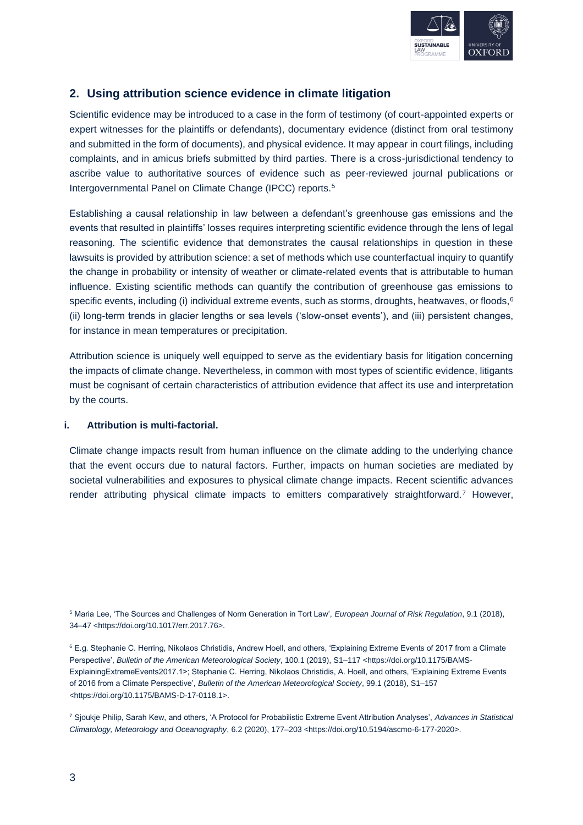

## **2. Using attribution science evidence in climate litigation**

Scientific evidence may be introduced to a case in the form of testimony (of court-appointed experts or expert witnesses for the plaintiffs or defendants), documentary evidence (distinct from oral testimony and submitted in the form of documents), and physical evidence. It may appear in court filings, including complaints, and in amicus briefs submitted by third parties. There is a cross-jurisdictional tendency to ascribe value to authoritative sources of evidence such as peer-reviewed journal publications or Intergovernmental Panel on Climate Change (IPCC) reports.<sup>5</sup>

Establishing a causal relationship in law between a defendant's greenhouse gas emissions and the events that resulted in plaintiffs' losses requires interpreting scientific evidence through the lens of legal reasoning. The scientific evidence that demonstrates the causal relationships in question in these lawsuits is provided by attribution science: a set of methods which use counterfactual inquiry to quantify the change in probability or intensity of weather or climate-related events that is attributable to human influence. Existing scientific methods can quantify the contribution of greenhouse gas emissions to specific events, including (i) individual extreme events, such as storms, droughts, heatwaves, or floods, $6$ (ii) long-term trends in glacier lengths or sea levels ('slow-onset events'), and (iii) persistent changes, for instance in mean temperatures or precipitation.

Attribution science is uniquely well equipped to serve as the evidentiary basis for litigation concerning the impacts of climate change. Nevertheless, in common with most types of scientific evidence, litigants must be cognisant of certain characteristics of attribution evidence that affect its use and interpretation by the courts.

#### **i. Attribution is multi-factorial.**

Climate change impacts result from human influence on the climate adding to the underlying chance that the event occurs due to natural factors. Further, impacts on human societies are mediated by societal vulnerabilities and exposures to physical climate change impacts. Recent scientific advances render attributing physical climate impacts to emitters comparatively straightforward.<sup>7</sup> However,

<sup>5</sup> Maria Lee, 'The Sources and Challenges of Norm Generation in Tort Law', *European Journal of Risk Regulation*, 9.1 (2018), 34–47 <https://doi.org/10.1017/err.2017.76>.

<sup>6</sup> E.g. Stephanie C. Herring, Nikolaos Christidis, Andrew Hoell, and others, 'Explaining Extreme Events of 2017 from a Climate Perspective', *Bulletin of the American Meteorological Society*, 100.1 (2019), S1–117 <https://doi.org/10.1175/BAMS-ExplainingExtremeEvents2017.1>; Stephanie C. Herring, Nikolaos Christidis, A. Hoell, and others, 'Explaining Extreme Events of 2016 from a Climate Perspective', *Bulletin of the American Meteorological Society*, 99.1 (2018), S1–157 <https://doi.org/10.1175/BAMS-D-17-0118.1>.

<sup>7</sup> Sjoukje Philip, Sarah Kew, and others, 'A Protocol for Probabilistic Extreme Event Attribution Analyses', *Advances in Statistical Climatology, Meteorology and Oceanography*, 6.2 (2020), 177–203 <https://doi.org/10.5194/ascmo-6-177-2020>.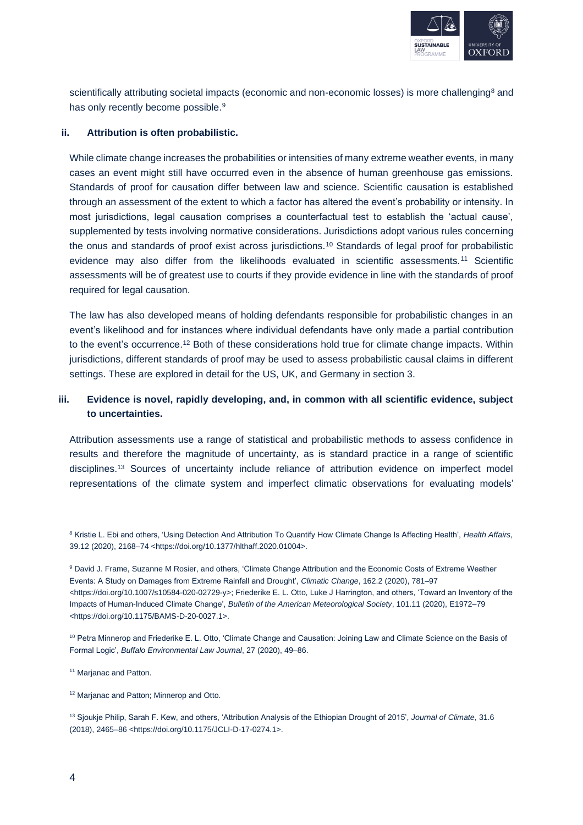

scientifically attributing societal impacts (economic and non-economic losses) is more challenging<sup>8</sup> and has only recently become possible.<sup>9</sup>

#### **ii. Attribution is often probabilistic.**

While climate change increases the probabilities or intensities of many extreme weather events, in many cases an event might still have occurred even in the absence of human greenhouse gas emissions. Standards of proof for causation differ between law and science. Scientific causation is established through an assessment of the extent to which a factor has altered the event's probability or intensity. In most jurisdictions, legal causation comprises a counterfactual test to establish the 'actual cause', supplemented by tests involving normative considerations. Jurisdictions adopt various rules concerning the onus and standards of proof exist across jurisdictions.<sup>10</sup> Standards of legal proof for probabilistic evidence may also differ from the likelihoods evaluated in scientific assessments.<sup>11</sup> Scientific assessments will be of greatest use to courts if they provide evidence in line with the standards of proof required for legal causation.

The law has also developed means of holding defendants responsible for probabilistic changes in an event's likelihood and for instances where individual defendants have only made a partial contribution to the event's occurrence.<sup>12</sup> Both of these considerations hold true for climate change impacts. Within jurisdictions, different standards of proof may be used to assess probabilistic causal claims in different settings. These are explored in detail for the US, UK, and Germany in section 3.

#### **iii. Evidence is novel, rapidly developing, and, in common with all scientific evidence, subject to uncertainties.**

Attribution assessments use a range of statistical and probabilistic methods to assess confidence in results and therefore the magnitude of uncertainty, as is standard practice in a range of scientific disciplines.<sup>13</sup> Sources of uncertainty include reliance of attribution evidence on imperfect model representations of the climate system and imperfect climatic observations for evaluating models'

<sup>10</sup> Petra Minnerop and Friederike E. L. Otto, 'Climate Change and Causation: Joining Law and Climate Science on the Basis of Formal Logic', *Buffalo Environmental Law Journal*, 27 (2020), 49–86.

<sup>11</sup> Marjanac and Patton.

<sup>12</sup> Marjanac and Patton; Minnerop and Otto.

<sup>13</sup> Sjoukje Philip, Sarah F. Kew, and others, 'Attribution Analysis of the Ethiopian Drought of 2015', *Journal of Climate*, 31.6 (2018), 2465–86 <https://doi.org/10.1175/JCLI-D-17-0274.1>.

<sup>&</sup>lt;sup>8</sup> Kristie L. Ebi and others, 'Using Detection And Attribution To Quantify How Climate Change Is Affecting Health', Health Affairs, 39.12 (2020), 2168–74 <https://doi.org/10.1377/hlthaff.2020.01004>.

<sup>9</sup> David J. Frame, Suzanne M Rosier, and others, 'Climate Change Attribution and the Economic Costs of Extreme Weather Events: A Study on Damages from Extreme Rainfall and Drought', *Climatic Change*, 162.2 (2020), 781–97 <https://doi.org/10.1007/s10584-020-02729-y>; Friederike E. L. Otto, Luke J Harrington, and others, 'Toward an Inventory of the Impacts of Human-Induced Climate Change', *Bulletin of the American Meteorological Society*, 101.11 (2020), E1972–79 <https://doi.org/10.1175/BAMS-D-20-0027.1>.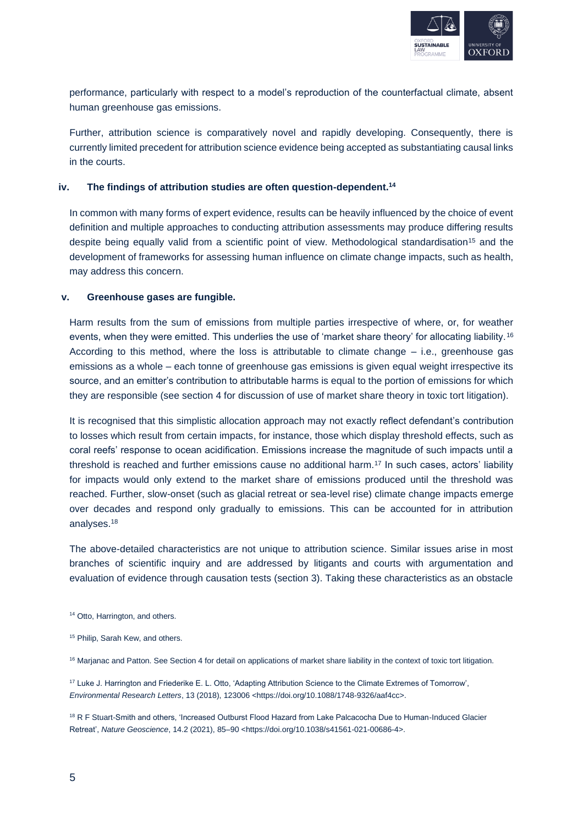

performance, particularly with respect to a model's reproduction of the counterfactual climate, absent human greenhouse gas emissions.

Further, attribution science is comparatively novel and rapidly developing. Consequently, there is currently limited precedent for attribution science evidence being accepted as substantiating causal links in the courts.

#### **iv. The findings of attribution studies are often question-dependent.<sup>14</sup>**

In common with many forms of expert evidence, results can be heavily influenced by the choice of event definition and multiple approaches to conducting attribution assessments may produce differing results despite being equally valid from a scientific point of view. Methodological standardisation<sup>15</sup> and the development of frameworks for assessing human influence on climate change impacts, such as health, may address this concern.

#### **v. Greenhouse gases are fungible.**

Harm results from the sum of emissions from multiple parties irrespective of where, or, for weather events, when they were emitted. This underlies the use of 'market share theory' for allocating liability.<sup>16</sup> According to this method, where the loss is attributable to climate change  $-$  i.e., greenhouse gas emissions as a whole – each tonne of greenhouse gas emissions is given equal weight irrespective its source, and an emitter's contribution to attributable harms is equal to the portion of emissions for which they are responsible (see section 4 for discussion of use of market share theory in toxic tort litigation).

It is recognised that this simplistic allocation approach may not exactly reflect defendant's contribution to losses which result from certain impacts, for instance, those which display threshold effects, such as coral reefs' response to ocean acidification. Emissions increase the magnitude of such impacts until a threshold is reached and further emissions cause no additional harm.<sup>17</sup> In such cases, actors' liability for impacts would only extend to the market share of emissions produced until the threshold was reached. Further, slow-onset (such as glacial retreat or sea-level rise) climate change impacts emerge over decades and respond only gradually to emissions. This can be accounted for in attribution analyses.<sup>18</sup>

The above-detailed characteristics are not unique to attribution science. Similar issues arise in most branches of scientific inquiry and are addressed by litigants and courts with argumentation and evaluation of evidence through causation tests (section 3). Taking these characteristics as an obstacle

<sup>&</sup>lt;sup>14</sup> Otto, Harrington, and others.

<sup>&</sup>lt;sup>15</sup> Philip, Sarah Kew, and others.

<sup>&</sup>lt;sup>16</sup> Marjanac and Patton. See Section 4 for detail on applications of market share liability in the context of toxic tort litigation.

<sup>17</sup> Luke J. Harrington and Friederike E. L. Otto, 'Adapting Attribution Science to the Climate Extremes of Tomorrow', *Environmental Research Letters*, 13 (2018), 123006 <https://doi.org/10.1088/1748-9326/aaf4cc>.

<sup>&</sup>lt;sup>18</sup> R F Stuart-Smith and others, 'Increased Outburst Flood Hazard from Lake Palcacocha Due to Human-Induced Glacier Retreat', *Nature Geoscience*, 14.2 (2021), 85–90 <https://doi.org/10.1038/s41561-021-00686-4>.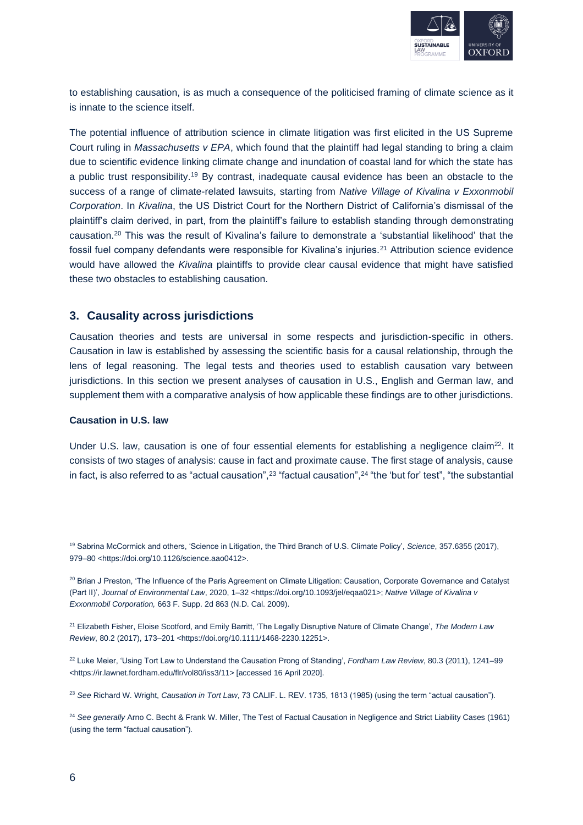

to establishing causation, is as much a consequence of the politicised framing of climate science as it is innate to the science itself.

The potential influence of attribution science in climate litigation was first elicited in the US Supreme Court ruling in *Massachusetts v EPA*, which found that the plaintiff had legal standing to bring a claim due to scientific evidence linking climate change and inundation of coastal land for which the state has a public trust responsibility.<sup>19</sup> By contrast, inadequate causal evidence has been an obstacle to the success of a range of climate-related lawsuits, starting from *Native Village of Kivalina v Exxonmobil Corporation*. In *Kivalina*, the US District Court for the Northern District of California's dismissal of the plaintiff's claim derived, in part, from the plaintiff's failure to establish standing through demonstrating causation.<sup>20</sup> This was the result of Kivalina's failure to demonstrate a 'substantial likelihood' that the fossil fuel company defendants were responsible for Kivalina's injuries.<sup>21</sup> Attribution science evidence would have allowed the *Kivalina* plaintiffs to provide clear causal evidence that might have satisfied these two obstacles to establishing causation.

#### **3. Causality across jurisdictions**

Causation theories and tests are universal in some respects and jurisdiction-specific in others. Causation in law is established by assessing the scientific basis for a causal relationship, through the lens of legal reasoning. The legal tests and theories used to establish causation vary between jurisdictions. In this section we present analyses of causation in U.S., English and German law, and supplement them with a comparative analysis of how applicable these findings are to other jurisdictions.

#### **Causation in U.S. law**

Under U.S. law, causation is one of four essential elements for establishing a negligence claim<sup>22</sup>. It consists of two stages of analysis: cause in fact and proximate cause. The first stage of analysis, cause in fact, is also referred to as "actual causation",<sup>23</sup> "factual causation",<sup>24</sup> "the 'but for' test", "the substantial

<sup>19</sup> Sabrina McCormick and others, 'Science in Litigation, the Third Branch of U.S. Climate Policy', *Science*, 357.6355 (2017), 979–80 <https://doi.org/10.1126/science.aao0412>.

<sup>&</sup>lt;sup>20</sup> Brian J Preston, 'The Influence of the Paris Agreement on Climate Litigation: Causation, Corporate Governance and Catalyst (Part II)', *Journal of Environmental Law*, 2020, 1–32 <https://doi.org/10.1093/jel/eqaa021>; *Native Village of Kivalina v Exxonmobil Corporation,* 663 F. Supp. 2d 863 (N.D. Cal. 2009).

<sup>21</sup> Elizabeth Fisher, Eloise Scotford, and Emily Barritt, 'The Legally Disruptive Nature of Climate Change', *The Modern Law Review*, 80.2 (2017), 173–201 <https://doi.org/10.1111/1468-2230.12251>.

<sup>22</sup> Luke Meier, 'Using Tort Law to Understand the Causation Prong of Standing', *Fordham Law Review*, 80.3 (2011), 1241–99 <https://ir.lawnet.fordham.edu/flr/vol80/iss3/11> [accessed 16 April 2020].

<sup>23</sup> *See* Richard W. Wright, *Causation in Tort Law*, 73 CALIF. L. REV. 1735, 1813 (1985) (using the term "actual causation").

<sup>&</sup>lt;sup>24</sup> See generally Arno C. Becht & Frank W. Miller, The Test of Factual Causation in Negligence and Strict Liability Cases (1961) (using the term "factual causation").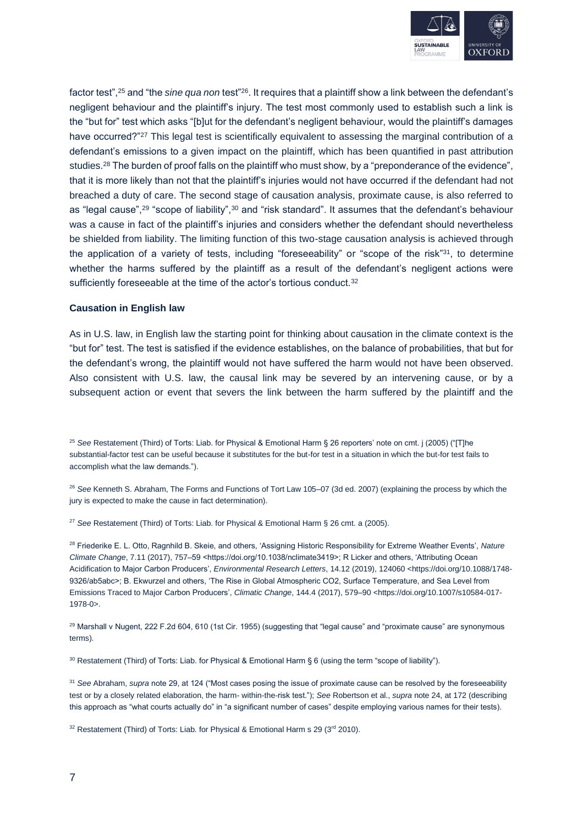

factor test",<sup>25</sup> and "the *sine qua non* test"<sup>26</sup>. It requires that a plaintiff show a link between the defendant's negligent behaviour and the plaintiff's injury. The test most commonly used to establish such a link is the "but for" test which asks "[b]ut for the defendant's negligent behaviour, would the plaintiff's damages have occurred?"<sup>27</sup> This legal test is scientifically equivalent to assessing the marginal contribution of a defendant's emissions to a given impact on the plaintiff, which has been quantified in past attribution studies.<sup>28</sup> The burden of proof falls on the plaintiff who must show, by a "preponderance of the evidence", that it is more likely than not that the plaintiff's injuries would not have occurred if the defendant had not breached a duty of care. The second stage of causation analysis, proximate cause, is also referred to as "legal cause",<sup>29</sup> "scope of liability",<sup>30</sup> and "risk standard". It assumes that the defendant's behaviour was a cause in fact of the plaintiff's injuries and considers whether the defendant should nevertheless be shielded from liability. The limiting function of this two-stage causation analysis is achieved through the application of a variety of tests, including "foreseeability" or "scope of the risk"<sup>31</sup>, to determine whether the harms suffered by the plaintiff as a result of the defendant's negligent actions were sufficiently foreseeable at the time of the actor's tortious conduct.<sup>32</sup>

#### **Causation in English law**

As in U.S. law, in English law the starting point for thinking about causation in the climate context is the "but for" test. The test is satisfied if the evidence establishes, on the balance of probabilities, that but for the defendant's wrong, the plaintiff would not have suffered the harm would not have been observed. Also consistent with U.S. law, the causal link may be severed by an intervening cause, or by a subsequent action or event that severs the link between the harm suffered by the plaintiff and the

<sup>25</sup> *See* Restatement (Third) of Torts: Liab. for Physical & Emotional Harm § 26 reporters' note on cmt. j (2005) ("[T]he substantial-factor test can be useful because it substitutes for the but-for test in a situation in which the but-for test fails to accomplish what the law demands.").

<sup>26</sup> *See* Kenneth S. Abraham, The Forms and Functions of Tort Law 105–07 (3d ed. 2007) (explaining the process by which the jury is expected to make the cause in fact determination).

<sup>27</sup> *See* Restatement (Third) of Torts: Liab. for Physical & Emotional Harm § 26 cmt. a (2005).

<sup>28</sup> Friederike E. L. Otto, Ragnhild B. Skeie, and others, 'Assigning Historic Responsibility for Extreme Weather Events', *Nature Climate Change*, 7.11 (2017), 757–59 <https://doi.org/10.1038/nclimate3419>; R Licker and others, 'Attributing Ocean Acidification to Major Carbon Producers', *Environmental Research Letters*, 14.12 (2019), 124060 <https://doi.org/10.1088/1748- 9326/ab5abc>; B. Ekwurzel and others, 'The Rise in Global Atmospheric CO2, Surface Temperature, and Sea Level from Emissions Traced to Major Carbon Producers', *Climatic Change*, 144.4 (2017), 579–90 <https://doi.org/10.1007/s10584-017- 1978-0>.

<sup>29</sup> Marshall v Nugent, 222 F.2d 604, 610 (1st Cir. 1955) (suggesting that "legal cause" and "proximate cause" are synonymous terms).

30 Restatement (Third) of Torts: Liab. for Physical & Emotional Harm § 6 (using the term "scope of liability").

<sup>31</sup> *See* Abraham, *supra* note 29, at 124 ("Most cases posing the issue of proximate cause can be resolved by the foreseeability test or by a closely related elaboration, the harm- within-the-risk test."); *See* Robertson et al., *supra* note 24, at 172 (describing this approach as "what courts actually do" in "a significant number of cases" despite employing various names for their tests).

 $32$  Restatement (Third) of Torts: Liab. for Physical & Emotional Harm s 29 ( $3<sup>rd</sup>$  2010).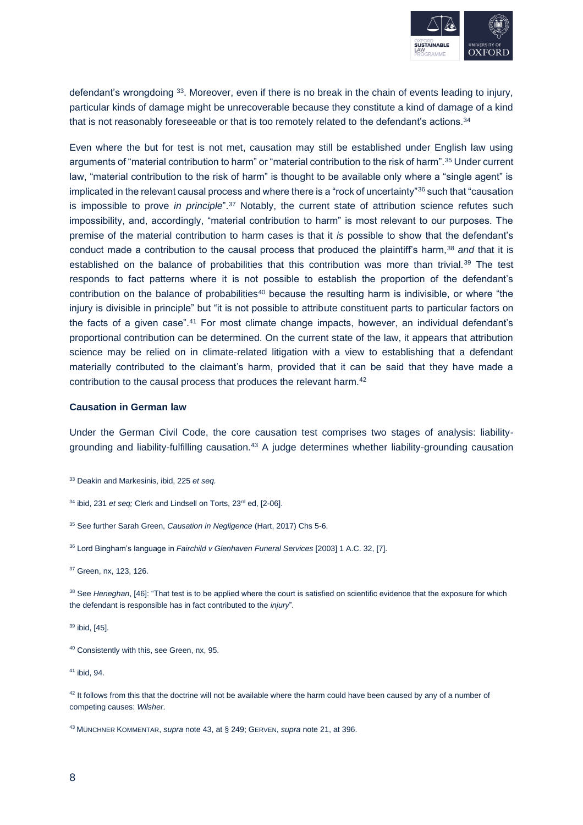

defendant's wrongdoing <sup>33</sup>. Moreover, even if there is no break in the chain of events leading to injury, particular kinds of damage might be unrecoverable because they constitute a kind of damage of a kind that is not reasonably foreseeable or that is too remotely related to the defendant's actions. $^\mathrm{34}$ 

Even where the but for test is not met, causation may still be established under English law using arguments of "material contribution to harm" or "material contribution to the risk of harm".<sup>35</sup> Under current law, "material contribution to the risk of harm" is thought to be available only where a "single agent" is implicated in the relevant causal process and where there is a "rock of uncertainty"<sup>36</sup> such that "causation" is impossible to prove *in principle*".<sup>37</sup> Notably, the current state of attribution science refutes such impossibility, and, accordingly, "material contribution to harm" is most relevant to our purposes. The premise of the material contribution to harm cases is that it *is* possible to show that the defendant's conduct made a contribution to the causal process that produced the plaintiff's harm,<sup>38</sup> and that it is established on the balance of probabilities that this contribution was more than trivial.<sup>39</sup> The test responds to fact patterns where it is not possible to establish the proportion of the defendant's contribution on the balance of probabilities<sup>40</sup> because the resulting harm is indivisible, or where "the injury is divisible in principle" but "it is not possible to attribute constituent parts to particular factors on the facts of a given case".<sup>41</sup> For most climate change impacts, however, an individual defendant's proportional contribution can be determined. On the current state of the law, it appears that attribution science may be relied on in climate-related litigation with a view to establishing that a defendant materially contributed to the claimant's harm, provided that it can be said that they have made a contribution to the causal process that produces the relevant harm.<sup>42</sup>

#### **Causation in German law**

Under the German Civil Code, the core causation test comprises two stages of analysis: liabilitygrounding and liability-fulfilling causation.<sup>43</sup> A judge determines whether liability-grounding causation

<sup>33</sup> Deakin and Markesinis, ibid, 225 *et seq.*

- <sup>35</sup> See further Sarah Green, *Causation in Negligence* (Hart, 2017) Chs 5-6.
- <sup>36</sup> Lord Bingham's language in *Fairchild v Glenhaven Funeral Services* [2003] 1 A.C. 32, [7].

<sup>38</sup> See *Heneghan*, [46]: "That test is to be applied where the court is satisfied on scientific evidence that the exposure for which the defendant is responsible has in fact contributed to the *injury*".

<sup>39</sup> ibid, [45].

<sup>40</sup> Consistently with this, see Green, nx, 95.

<sup>41</sup> ibid, 94.

 $42$  It follows from this that the doctrine will not be available where the harm could have been caused by any of a number of competing causes: *Wilsher*.

<sup>43</sup> MÜNCHNER KOMMENTAR, *supra* note 43, at § 249; GERVEN, *supra* note 21, at 396.

<sup>&</sup>lt;sup>34</sup> ibid, 231 *et seq;* Clerk and Lindsell on Torts, 23<sup>rd</sup> ed, [2-06].

<sup>37</sup> Green, nx, 123, 126.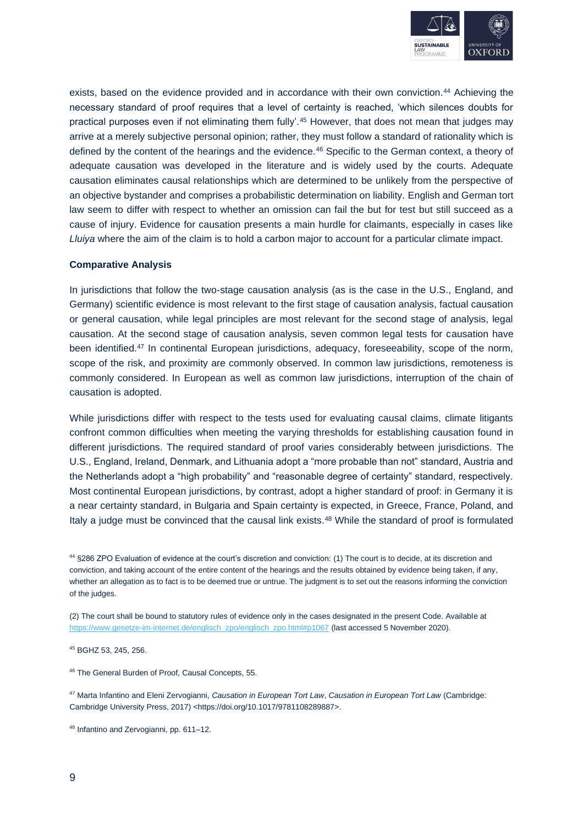

exists, based on the evidence provided and in accordance with their own conviction.<sup>44</sup> Achieving the necessary standard of proof requires that a level of certainty is reached, 'which silences doubts for practical purposes even if not eliminating them fully'.<sup>45</sup> However, that does not mean that judges may arrive at a merely subjective personal opinion; rather, they must follow a standard of rationality which is defined by the content of the hearings and the evidence.<sup>46</sup> Specific to the German context, a theory of adequate causation was developed in the literature and is widely used by the courts. Adequate causation eliminates causal relationships which are determined to be unlikely from the perspective of an objective bystander and comprises a probabilistic determination on liability. English and German tort law seem to differ with respect to whether an omission can fail the but for test but still succeed as a cause of injury. Evidence for causation presents a main hurdle for claimants, especially in cases like *Lluiya* where the aim of the claim is to hold a carbon major to account for a particular climate impact.

#### **Comparative Analysis**

In jurisdictions that follow the two-stage causation analysis (as is the case in the U.S., England, and Germany) scientific evidence is most relevant to the first stage of causation analysis, factual causation or general causation, while legal principles are most relevant for the second stage of analysis, legal causation. At the second stage of causation analysis, seven common legal tests for causation have been identified.<sup>47</sup> In continental European jurisdictions, adequacy, foreseeability, scope of the norm, scope of the risk, and proximity are commonly observed. In common law jurisdictions, remoteness is commonly considered. In European as well as common law jurisdictions, interruption of the chain of causation is adopted.

While jurisdictions differ with respect to the tests used for evaluating causal claims, climate litigants confront common difficulties when meeting the varying thresholds for establishing causation found in different jurisdictions. The required standard of proof varies considerably between jurisdictions. The U.S., England, Ireland, Denmark, and Lithuania adopt a "more probable than not" standard, Austria and the Netherlands adopt a "high probability" and "reasonable degree of certainty" standard, respectively. Most continental European jurisdictions, by contrast, adopt a higher standard of proof: in Germany it is a near certainty standard, in Bulgaria and Spain certainty is expected, in Greece, France, Poland, and Italy a judge must be convinced that the causal link exists.<sup>48</sup> While the standard of proof is formulated

<sup>44</sup> §286 ZPO Evaluation of evidence at the court's discretion and conviction: (1) The court is to decide, at its discretion and conviction, and taking account of the entire content of the hearings and the results obtained by evidence being taken, if any, whether an allegation as to fact is to be deemed true or untrue. The judgment is to set out the reasons informing the conviction of the judges.

(2) The court shall be bound to statutory rules of evidence only in the cases designated in the present Code. Available at [https://www.gesetze-im-internet.de/englisch\\_zpo/englisch\\_zpo.html#p1067](https://www.gesetze-im-internet.de/englisch_zpo/englisch_zpo.html#p1067) (last accessed 5 November 2020).

<sup>45</sup> BGHZ 53, 245, 256.

<sup>46</sup> The General Burden of Proof, Causal Concepts, 55.

<sup>47</sup> Marta Infantino and Eleni Zervogianni, *Causation in European Tort Law*, *Causation in European Tort Law* (Cambridge: Cambridge University Press, 2017) <https://doi.org/10.1017/9781108289887>.

<sup>48</sup> Infantino and Zervogianni, pp. 611–12.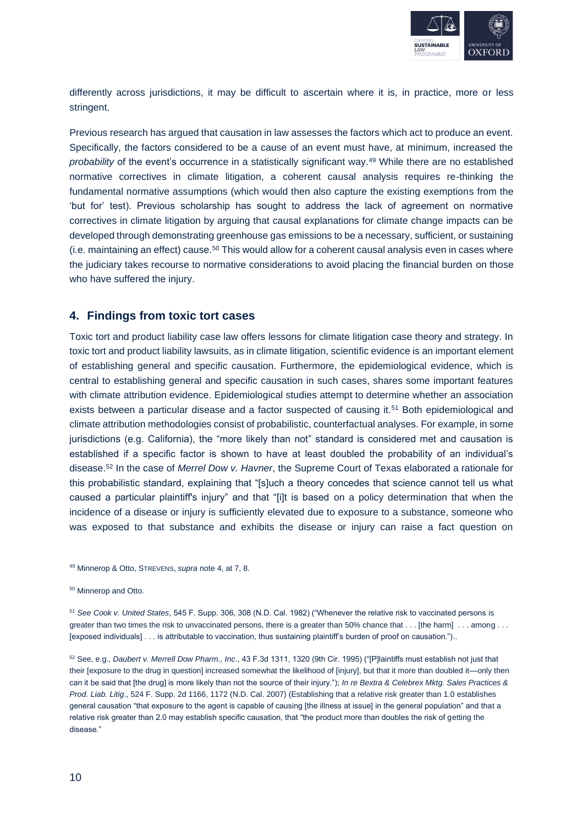

differently across jurisdictions, it may be difficult to ascertain where it is, in practice, more or less stringent.

Previous research has argued that causation in law assesses the factors which act to produce an event. Specifically, the factors considered to be a cause of an event must have, at minimum, increased the *probability* of the event's occurrence in a statistically significant way.<sup>49</sup> While there are no established normative correctives in climate litigation, a coherent causal analysis requires re-thinking the fundamental normative assumptions (which would then also capture the existing exemptions from the 'but for' test). Previous scholarship has sought to address the lack of agreement on normative correctives in climate litigation by arguing that causal explanations for climate change impacts can be developed through demonstrating greenhouse gas emissions to be a necessary, sufficient, or sustaining (i.e. maintaining an effect) cause.<sup>50</sup> This would allow for a coherent causal analysis even in cases where the judiciary takes recourse to normative considerations to avoid placing the financial burden on those who have suffered the injury.

#### **4. Findings from toxic tort cases**

Toxic tort and product liability case law offers lessons for climate litigation case theory and strategy. In toxic tort and product liability lawsuits, as in climate litigation, scientific evidence is an important element of establishing general and specific causation. Furthermore, the epidemiological evidence, which is central to establishing general and specific causation in such cases, shares some important features with climate attribution evidence. Epidemiological studies attempt to determine whether an association exists between a particular disease and a factor suspected of causing it.<sup>51</sup> Both epidemiological and climate attribution methodologies consist of probabilistic, counterfactual analyses. For example, in some jurisdictions (e.g. California), the "more likely than not" standard is considered met and causation is established if a specific factor is shown to have at least doubled the probability of an individual's disease.<sup>52</sup> In the case of *Merrel Dow v. Havner*, the Supreme Court of Texas elaborated a rationale for this probabilistic standard, explaining that "[s]uch a theory concedes that science cannot tell us what caused a particular plaintiff's injury" and that "[i]t is based on a policy determination that when the incidence of a disease or injury is sufficiently elevated due to exposure to a substance, someone who was exposed to that substance and exhibits the disease or injury can raise a fact question on

<sup>49</sup> Minnerop & Otto, STREVENS, *supra* note 4, at 7, 8.

<sup>50</sup> Minnerop and Otto.

<sup>51</sup> *See Cook v. United States*, 545 F. Supp. 306, 308 (N.D. Cal. 1982) ("Whenever the relative risk to vaccinated persons is greater than two times the risk to unvaccinated persons, there is a greater than 50% chance that . . . [the harm] . . . among . . . [exposed individuals] . . . is attributable to vaccination, thus sustaining plaintiff's burden of proof on causation.")..

<sup>52</sup> See, e.g., *Daubert v. Merrell Dow Pharm., Inc*., 43 F.3d 1311, 1320 (9th Cir. 1995) ("[P]laintiffs must establish not just that their [exposure to the drug in question] increased somewhat the likelihood of [injury], but that it more than doubled it—only then can it be said that [the drug] is more likely than not the source of their injury."); *In re Bextra & Celebrex Mktg. Sales Practices & Prod. Liab. Litig*., 524 F. Supp. 2d 1166, 1172 (N.D. Cal. 2007) (Establishing that a relative risk greater than 1.0 establishes general causation "that exposure to the agent is capable of causing [the illness at issue] in the general population" and that a relative risk greater than 2.0 may establish specific causation, that "the product more than doubles the risk of getting the disease."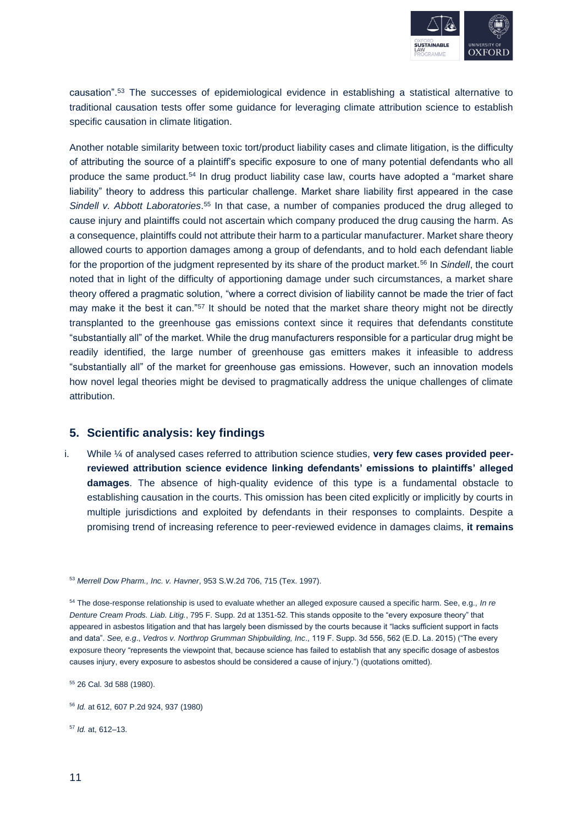

causation".<sup>53</sup> The successes of epidemiological evidence in establishing a statistical alternative to traditional causation tests offer some guidance for leveraging climate attribution science to establish specific causation in climate litigation.

Another notable similarity between toxic tort/product liability cases and climate litigation, is the difficulty of attributing the source of a plaintiff's specific exposure to one of many potential defendants who all produce the same product.<sup>54</sup> In drug product liability case law, courts have adopted a "market share liability" theory to address this particular challenge. Market share liability first appeared in the case Sindell v. Abbott Laboratories.<sup>55</sup> In that case, a number of companies produced the drug alleged to cause injury and plaintiffs could not ascertain which company produced the drug causing the harm. As a consequence, plaintiffs could not attribute their harm to a particular manufacturer. Market share theory allowed courts to apportion damages among a group of defendants, and to hold each defendant liable for the proportion of the judgment represented by its share of the product market.<sup>56</sup> In *Sindell*, the court noted that in light of the difficulty of apportioning damage under such circumstances, a market share theory offered a pragmatic solution, "where a correct division of liability cannot be made the trier of fact may make it the best it can."<sup>57</sup> It should be noted that the market share theory might not be directly transplanted to the greenhouse gas emissions context since it requires that defendants constitute "substantially all" of the market. While the drug manufacturers responsible for a particular drug might be readily identified, the large number of greenhouse gas emitters makes it infeasible to address "substantially all" of the market for greenhouse gas emissions. However, such an innovation models how novel legal theories might be devised to pragmatically address the unique challenges of climate attribution.

#### **5. Scientific analysis: key findings**

i. While ¼ of analysed cases referred to attribution science studies, **very few cases provided peerreviewed attribution science evidence linking defendants' emissions to plaintiffs' alleged damages**. The absence of high-quality evidence of this type is a fundamental obstacle to establishing causation in the courts. This omission has been cited explicitly or implicitly by courts in multiple jurisdictions and exploited by defendants in their responses to complaints. Despite a promising trend of increasing reference to peer-reviewed evidence in damages claims, **it remains** 

<sup>57</sup> *Id.* at, 612–13.

<sup>53</sup> *Merrell Dow Pharm., Inc. v. Havner*, 953 S.W.2d 706, 715 (Tex. 1997).

<sup>54</sup> The dose-response relationship is used to evaluate whether an alleged exposure caused a specific harm. See, e.g., *In re Denture Cream Prods. Liab. Litig.*, 795 F. Supp. 2d at 1351-52. This stands opposite to the "every exposure theory" that appeared in asbestos litigation and that has largely been dismissed by the courts because it "lacks sufficient support in facts and data". *See, e.g*., *Vedros v. Northrop Grumman Shipbuilding, Inc*., 119 F. Supp. 3d 556, 562 (E.D. La. 2015) ("The every exposure theory "represents the viewpoint that, because science has failed to establish that any specific dosage of asbestos causes injury, every exposure to asbestos should be considered a cause of injury.") (quotations omitted).

<sup>55</sup> 26 Cal. 3d 588 (1980).

<sup>56</sup> *Id.* at 612, 607 P.2d 924, 937 (1980)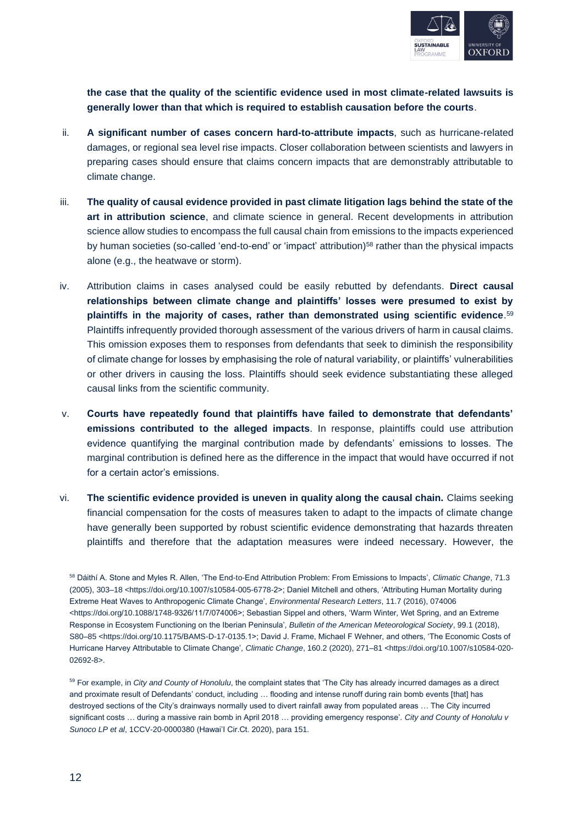

**the case that the quality of the scientific evidence used in most climate-related lawsuits is generally lower than that which is required to establish causation before the courts**.

- ii. **A significant number of cases concern hard-to-attribute impacts**, such as hurricane-related damages, or regional sea level rise impacts. Closer collaboration between scientists and lawyers in preparing cases should ensure that claims concern impacts that are demonstrably attributable to climate change.
- iii. **The quality of causal evidence provided in past climate litigation lags behind the state of the art in attribution science**, and climate science in general. Recent developments in attribution science allow studies to encompass the full causal chain from emissions to the impacts experienced by human societies (so-called 'end-to-end' or 'impact' attribution)<sup>58</sup> rather than the physical impacts alone (e.g., the heatwave or storm).
- iv. Attribution claims in cases analysed could be easily rebutted by defendants. **Direct causal relationships between climate change and plaintiffs' losses were presumed to exist by plaintiffs in the majority of cases, rather than demonstrated using scientific evidence**. 59 Plaintiffs infrequently provided thorough assessment of the various drivers of harm in causal claims. This omission exposes them to responses from defendants that seek to diminish the responsibility of climate change for losses by emphasising the role of natural variability, or plaintiffs' vulnerabilities or other drivers in causing the loss. Plaintiffs should seek evidence substantiating these alleged causal links from the scientific community.
- v. **Courts have repeatedly found that plaintiffs have failed to demonstrate that defendants' emissions contributed to the alleged impacts**. In response, plaintiffs could use attribution evidence quantifying the marginal contribution made by defendants' emissions to losses. The marginal contribution is defined here as the difference in the impact that would have occurred if not for a certain actor's emissions.
- vi. **The scientific evidence provided is uneven in quality along the causal chain.** Claims seeking financial compensation for the costs of measures taken to adapt to the impacts of climate change have generally been supported by robust scientific evidence demonstrating that hazards threaten plaintiffs and therefore that the adaptation measures were indeed necessary. However, the

<sup>58</sup> Dáithí A. Stone and Myles R. Allen, 'The End-to-End Attribution Problem: From Emissions to Impacts', *Climatic Change*, 71.3 (2005), 303–18 <https://doi.org/10.1007/s10584-005-6778-2>; Daniel Mitchell and others, 'Attributing Human Mortality during Extreme Heat Waves to Anthropogenic Climate Change', *Environmental Research Letters*, 11.7 (2016), 074006 <https://doi.org/10.1088/1748-9326/11/7/074006>; Sebastian Sippel and others, 'Warm Winter, Wet Spring, and an Extreme Response in Ecosystem Functioning on the Iberian Peninsula', *Bulletin of the American Meteorological Society*, 99.1 (2018), S80–85 <https://doi.org/10.1175/BAMS-D-17-0135.1>; David J. Frame, Michael F Wehner, and others, 'The Economic Costs of Hurricane Harvey Attributable to Climate Change', *Climatic Change*, 160.2 (2020), 271–81 <https://doi.org/10.1007/s10584-020- 02692-8>.

<sup>&</sup>lt;sup>59</sup> For example, in *City and County of Honolulu*, the complaint states that 'The City has already incurred damages as a direct and proximate result of Defendants' conduct, including … flooding and intense runoff during rain bomb events [that] has destroyed sections of the City's drainways normally used to divert rainfall away from populated areas … The City incurred significant costs … during a massive rain bomb in April 2018 … providing emergency response'. *City and County of Honolulu v Sunoco LP et al*, 1CCV-20-0000380 (Hawai'I Cir.Ct. 2020), para 151.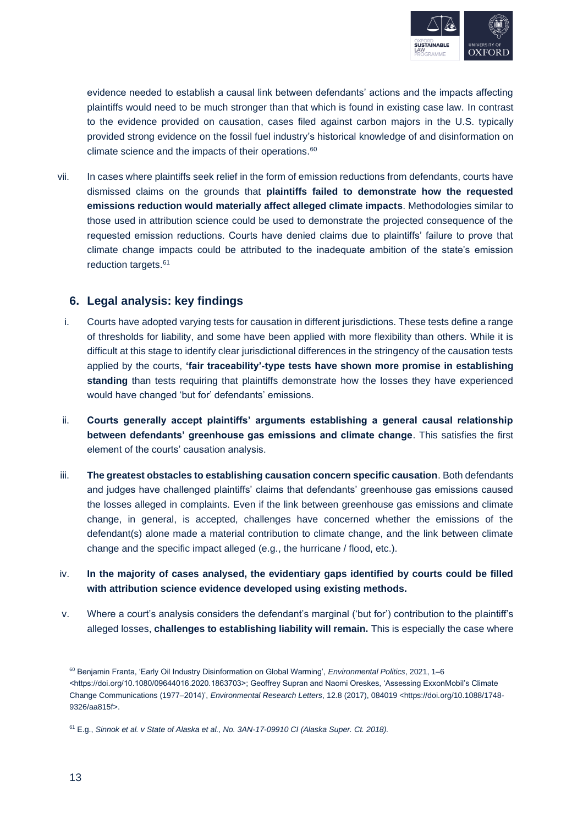

evidence needed to establish a causal link between defendants' actions and the impacts affecting plaintiffs would need to be much stronger than that which is found in existing case law. In contrast to the evidence provided on causation, cases filed against carbon majors in the U.S. typically provided strong evidence on the fossil fuel industry's historical knowledge of and disinformation on climate science and the impacts of their operations. 60

vii. In cases where plaintiffs seek relief in the form of emission reductions from defendants, courts have dismissed claims on the grounds that **plaintiffs failed to demonstrate how the requested emissions reduction would materially affect alleged climate impacts**. Methodologies similar to those used in attribution science could be used to demonstrate the projected consequence of the requested emission reductions. Courts have denied claims due to plaintiffs' failure to prove that climate change impacts could be attributed to the inadequate ambition of the state's emission reduction targets.<sup>61</sup>

### **6. Legal analysis: key findings**

- i. Courts have adopted varying tests for causation in different jurisdictions. These tests define a range of thresholds for liability, and some have been applied with more flexibility than others. While it is difficult at this stage to identify clear jurisdictional differences in the stringency of the causation tests applied by the courts, **'fair traceability'-type tests have shown more promise in establishing standing** than tests requiring that plaintiffs demonstrate how the losses they have experienced would have changed 'but for' defendants' emissions.
- ii. **Courts generally accept plaintiffs' arguments establishing a general causal relationship between defendants' greenhouse gas emissions and climate change**. This satisfies the first element of the courts' causation analysis.
- iii. **The greatest obstacles to establishing causation concern specific causation**. Both defendants and judges have challenged plaintiffs' claims that defendants' greenhouse gas emissions caused the losses alleged in complaints. Even if the link between greenhouse gas emissions and climate change, in general, is accepted, challenges have concerned whether the emissions of the defendant(s) alone made a material contribution to climate change, and the link between climate change and the specific impact alleged (e.g., the hurricane / flood, etc.).
- iv. **In the majority of cases analysed, the evidentiary gaps identified by courts could be filled with attribution science evidence developed using existing methods.**
- v. Where a court's analysis considers the defendant's marginal ('but for') contribution to the plaintiff's alleged losses, **challenges to establishing liability will remain.** This is especially the case where

<sup>60</sup> Benjamin Franta, 'Early Oil Industry Disinformation on Global Warming', *Environmental Politics*, 2021, 1–6 <https://doi.org/10.1080/09644016.2020.1863703>; Geoffrey Supran and Naomi Oreskes, 'Assessing ExxonMobil's Climate Change Communications (1977–2014)', *Environmental Research Letters*, 12.8 (2017), 084019 <https://doi.org/10.1088/1748- 9326/aa815f>.

<sup>61</sup> E.g., *Sinnok et al. v State of Alaska et al., No. 3AN-17-09910 CI (Alaska Super. Ct. 2018).*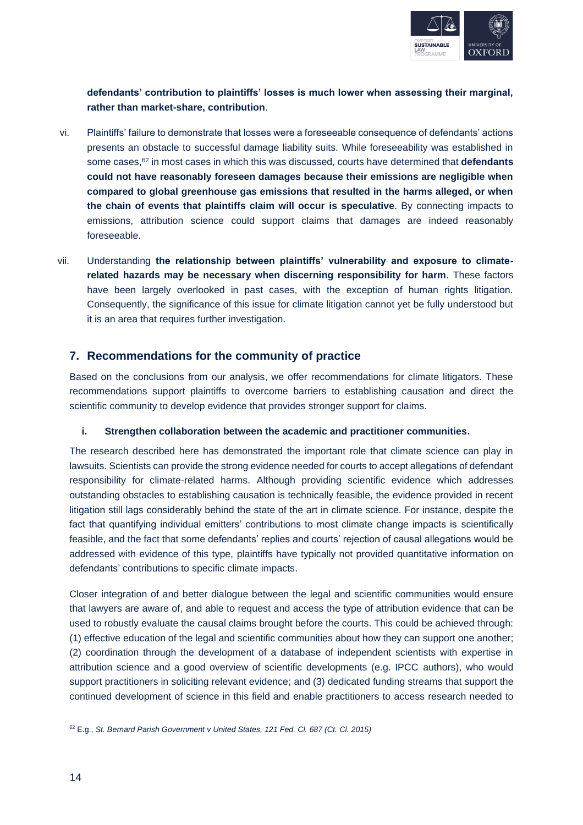

**defendants' contribution to plaintiffs' losses is much lower when assessing their marginal, rather than market-share, contribution**.

- vi. Plaintiffs' failure to demonstrate that losses were a foreseeable consequence of defendants' actions presents an obstacle to successful damage liability suits. While foreseeability was established in some cases,<sup>62</sup> in most cases in which this was discussed, courts have determined that **defendants could not have reasonably foreseen damages because their emissions are negligible when compared to global greenhouse gas emissions that resulted in the harms alleged, or when the chain of events that plaintiffs claim will occur is speculative**. By connecting impacts to emissions, attribution science could support claims that damages are indeed reasonably foreseeable.
- vii. Understanding **the relationship between plaintiffs' vulnerability and exposure to climaterelated hazards may be necessary when discerning responsibility for harm**. These factors have been largely overlooked in past cases, with the exception of human rights litigation. Consequently, the significance of this issue for climate litigation cannot yet be fully understood but it is an area that requires further investigation.

#### **7. Recommendations for the community of practice**

Based on the conclusions from our analysis, we offer recommendations for climate litigators. These recommendations support plaintiffs to overcome barriers to establishing causation and direct the scientific community to develop evidence that provides stronger support for claims.

#### **i. Strengthen collaboration between the academic and practitioner communities.**

The research described here has demonstrated the important role that climate science can play in lawsuits. Scientists can provide the strong evidence needed for courts to accept allegations of defendant responsibility for climate-related harms. Although providing scientific evidence which addresses outstanding obstacles to establishing causation is technically feasible, the evidence provided in recent litigation still lags considerably behind the state of the art in climate science. For instance, despite the fact that quantifying individual emitters' contributions to most climate change impacts is scientifically feasible, and the fact that some defendants' replies and courts' rejection of causal allegations would be addressed with evidence of this type, plaintiffs have typically not provided quantitative information on defendants' contributions to specific climate impacts.

Closer integration of and better dialogue between the legal and scientific communities would ensure that lawyers are aware of, and able to request and access the type of attribution evidence that can be used to robustly evaluate the causal claims brought before the courts. This could be achieved through: (1) effective education of the legal and scientific communities about how they can support one another; (2) coordination through the development of a database of independent scientists with expertise in attribution science and a good overview of scientific developments (e.g. IPCC authors), who would support practitioners in soliciting relevant evidence; and (3) dedicated funding streams that support the continued development of science in this field and enable practitioners to access research needed to

<sup>62</sup> E.g., *St. Bernard Parish Government v United States, 121 Fed. Cl. 687 (Ct. Cl. 2015)*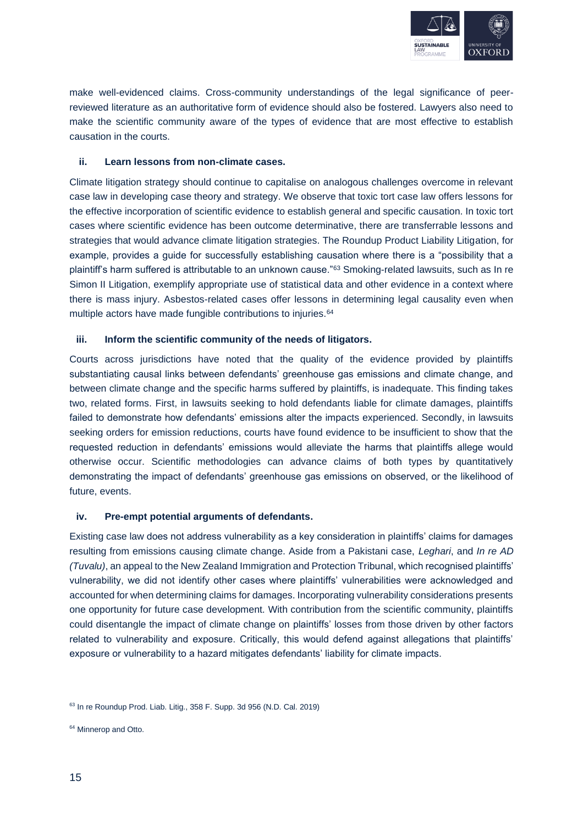

make well-evidenced claims. Cross-community understandings of the legal significance of peerreviewed literature as an authoritative form of evidence should also be fostered. Lawyers also need to make the scientific community aware of the types of evidence that are most effective to establish causation in the courts.

#### **ii. Learn lessons from non-climate cases.**

Climate litigation strategy should continue to capitalise on analogous challenges overcome in relevant case law in developing case theory and strategy. We observe that toxic tort case law offers lessons for the effective incorporation of scientific evidence to establish general and specific causation. In toxic tort cases where scientific evidence has been outcome determinative, there are transferrable lessons and strategies that would advance climate litigation strategies. The Roundup Product Liability Litigation, for example, provides a guide for successfully establishing causation where there is a "possibility that a plaintiff's harm suffered is attributable to an unknown cause."<sup>63</sup> Smoking-related lawsuits, such as In re Simon II Litigation, exemplify appropriate use of statistical data and other evidence in a context where there is mass injury. Asbestos-related cases offer lessons in determining legal causality even when multiple actors have made fungible contributions to injuries.<sup>64</sup>

#### **iii. Inform the scientific community of the needs of litigators.**

Courts across jurisdictions have noted that the quality of the evidence provided by plaintiffs substantiating causal links between defendants' greenhouse gas emissions and climate change, and between climate change and the specific harms suffered by plaintiffs, is inadequate. This finding takes two, related forms. First, in lawsuits seeking to hold defendants liable for climate damages, plaintiffs failed to demonstrate how defendants' emissions alter the impacts experienced. Secondly, in lawsuits seeking orders for emission reductions, courts have found evidence to be insufficient to show that the requested reduction in defendants' emissions would alleviate the harms that plaintiffs allege would otherwise occur. Scientific methodologies can advance claims of both types by quantitatively demonstrating the impact of defendants' greenhouse gas emissions on observed, or the likelihood of future, events.

#### **iv. Pre-empt potential arguments of defendants.**

Existing case law does not address vulnerability as a key consideration in plaintiffs' claims for damages resulting from emissions causing climate change. Aside from a Pakistani case, *Leghari*, and *In re AD (Tuvalu)*, an appeal to the New Zealand Immigration and Protection Tribunal, which recognised plaintiffs' vulnerability, we did not identify other cases where plaintiffs' vulnerabilities were acknowledged and accounted for when determining claims for damages. Incorporating vulnerability considerations presents one opportunity for future case development. With contribution from the scientific community, plaintiffs could disentangle the impact of climate change on plaintiffs' losses from those driven by other factors related to vulnerability and exposure. Critically, this would defend against allegations that plaintiffs' exposure or vulnerability to a hazard mitigates defendants' liability for climate impacts.

<sup>63</sup> In re Roundup Prod. Liab. Litig., 358 F. Supp. 3d 956 (N.D. Cal. 2019)

<sup>&</sup>lt;sup>64</sup> Minnerop and Otto.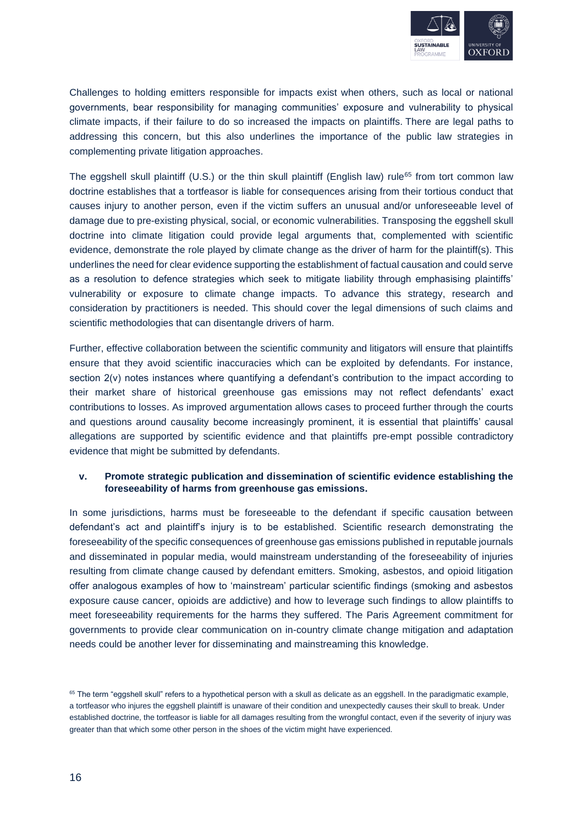

Challenges to holding emitters responsible for impacts exist when others, such as local or national governments, bear responsibility for managing communities' exposure and vulnerability to physical climate impacts, if their failure to do so increased the impacts on plaintiffs. There are legal paths to addressing this concern, but this also underlines the importance of the public law strategies in complementing private litigation approaches.

The eggshell skull plaintiff (U.S.) or the thin skull plaintiff (English law) rule<sup>65</sup> from tort common law doctrine establishes that a tortfeasor is liable for consequences arising from their tortious conduct that causes injury to another person, even if the victim suffers an unusual and/or unforeseeable level of damage due to pre-existing physical, social, or economic vulnerabilities. Transposing the eggshell skull doctrine into climate litigation could provide legal arguments that, complemented with scientific evidence, demonstrate the role played by climate change as the driver of harm for the plaintiff(s). This underlines the need for clear evidence supporting the establishment of factual causation and could serve as a resolution to defence strategies which seek to mitigate liability through emphasising plaintiffs' vulnerability or exposure to climate change impacts. To advance this strategy, research and consideration by practitioners is needed. This should cover the legal dimensions of such claims and scientific methodologies that can disentangle drivers of harm.

Further, effective collaboration between the scientific community and litigators will ensure that plaintiffs ensure that they avoid scientific inaccuracies which can be exploited by defendants. For instance, section 2(v) notes instances where quantifying a defendant's contribution to the impact according to their market share of historical greenhouse gas emissions may not reflect defendants' exact contributions to losses. As improved argumentation allows cases to proceed further through the courts and questions around causality become increasingly prominent, it is essential that plaintiffs' causal allegations are supported by scientific evidence and that plaintiffs pre-empt possible contradictory evidence that might be submitted by defendants.

#### **v. Promote strategic publication and dissemination of scientific evidence establishing the foreseeability of harms from greenhouse gas emissions.**

In some jurisdictions, harms must be foreseeable to the defendant if specific causation between defendant's act and plaintiff's injury is to be established. Scientific research demonstrating the foreseeability of the specific consequences of greenhouse gas emissions published in reputable journals and disseminated in popular media, would mainstream understanding of the foreseeability of injuries resulting from climate change caused by defendant emitters. Smoking, asbestos, and opioid litigation offer analogous examples of how to 'mainstream' particular scientific findings (smoking and asbestos exposure cause cancer, opioids are addictive) and how to leverage such findings to allow plaintiffs to meet foreseeability requirements for the harms they suffered. The Paris Agreement commitment for governments to provide clear communication on in-country climate change mitigation and adaptation needs could be another lever for disseminating and mainstreaming this knowledge.

<sup>&</sup>lt;sup>65</sup> The term "eggshell skull" refers to a hypothetical person with a skull as delicate as an eggshell. In the paradigmatic example, a tortfeasor who injures the eggshell plaintiff is unaware of their condition and unexpectedly causes their skull to break. Under established doctrine, the tortfeasor is liable for all damages resulting from the wrongful contact, even if the severity of injury was greater than that which some other person in the shoes of the victim might have experienced.